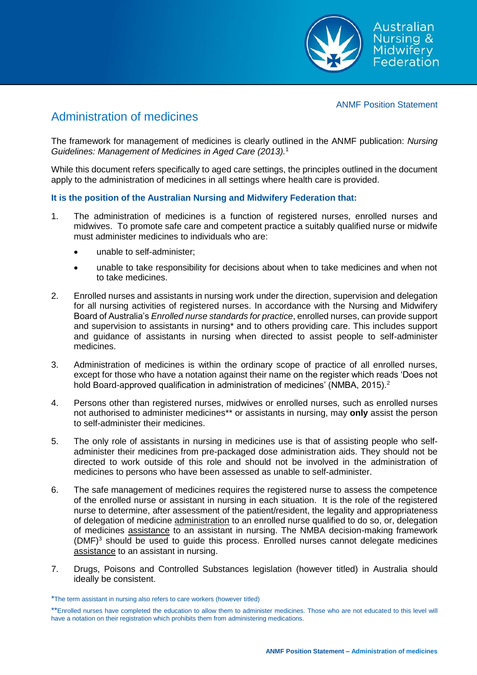

## ANMF Position Statement

## Administration of medicines

The framework for management of medicines is clearly outlined in the ANMF publication: *Nursing Guidelines: Management of Medicines in Aged Care (2013).*<sup>1</sup>

While this document refers specifically to aged care settings, the principles outlined in the document apply to the administration of medicines in all settings where health care is provided.

## **It is the position of the Australian Nursing and Midwifery Federation that:**

- 1. The administration of medicines is a function of registered nurses, enrolled nurses and midwives. To promote safe care and competent practice a suitably qualified nurse or midwife must administer medicines to individuals who are:
	- unable to self-administer;
	- unable to take responsibility for decisions about when to take medicines and when not to take medicines.
- 2. Enrolled nurses and assistants in nursing work under the direction, supervision and delegation for all nursing activities of registered nurses. In accordance with the Nursing and Midwifery Board of Australia's *Enrolled nurse standards for practice*, enrolled nurses, can provide support and supervision to assistants in nursing\* and to others providing care. This includes support and guidance of assistants in nursing when directed to assist people to self-administer medicines.
- 3. Administration of medicines is within the ordinary scope of practice of all enrolled nurses, except for those who have a notation against their name on the register which reads 'Does not hold Board-approved qualification in administration of medicines' (NMBA, 2015).<sup>2</sup>
- 4. Persons other than registered nurses, midwives or enrolled nurses, such as enrolled nurses not authorised to administer medicines\*\* or assistants in nursing, may **only** assist the person to self-administer their medicines.
- 5. The only role of assistants in nursing in medicines use is that of assisting people who selfadminister their medicines from pre-packaged dose administration aids. They should not be directed to work outside of this role and should not be involved in the administration of medicines to persons who have been assessed as unable to self-administer.
- 6. The safe management of medicines requires the registered nurse to assess the competence of the enrolled nurse or assistant in nursing in each situation. It is the role of the registered nurse to determine, after assessment of the patient/resident, the legality and appropriateness of delegation of medicine administration to an enrolled nurse qualified to do so, or, delegation of medicines assistance to an assistant in nursing. The NMBA decision-making framework  $(DMF)^3$  should be used to quide this process. Enrolled nurses cannot delegate medicines assistance to an assistant in nursing.
- 7. Drugs, Poisons and Controlled Substances legislation (however titled) in Australia should ideally be consistent.

<sup>\*</sup>The term assistant in nursing also refers to care workers (however titled)

<sup>\*\*</sup>Enrolled nurses have completed the education to allow them to administer medicines. Those who are not educated to this level will have a notation on their registration which prohibits them from administering medications.